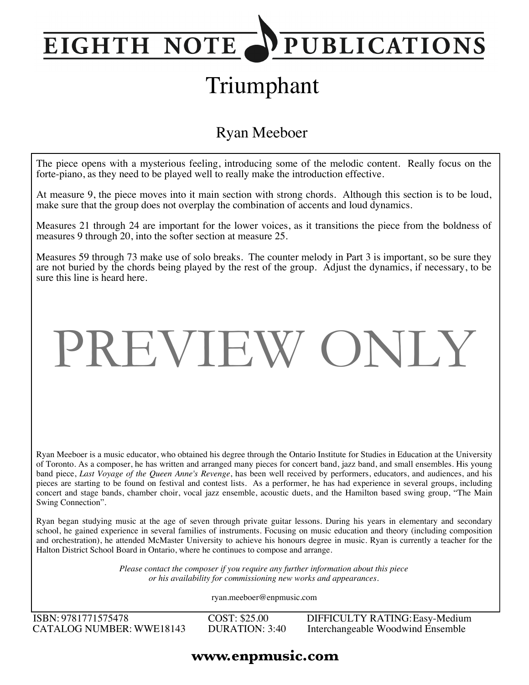# PUBLICATIONS **EIGHTH NOTE**

# Triumphant

## Ryan Meeboer

The piece opens with a mysterious feeling, introducing some of the melodic content. Really focus on the forte-piano, as they need to be played well to really make the introduction effective.

At measure 9, the piece moves into it main section with strong chords. Although this section is to be loud, make sure that the group does not overplay the combination of accents and loud dynamics.

Measures 21 through 24 are important for the lower voices, as it transitions the piece from the boldness of measures 9 through 20, into the softer section at measure 25.

Measures 59 through 73 make use of solo breaks. The counter melody in Part 3 is important, so be sure they are not buried by the chords being played by the rest of the group. Adjust the dynamics, if necessary, to be sure this line is heard here.

# PREVIEW ONLY

Ryan Meeboer is a music educator, who obtained his degree through the Ontario Institute for Studies in Education at the University of Toronto. As a composer, he has written and arranged many pieces for concert band, jazz band, and small ensembles. His young band piece, *Last Voyage of the Queen Anne's Revenge*, has been well received by performers, educators, and audiences, and his pieces are starting to be found on festival and contest lists. As a performer, he has had experience in several groups, including concert and stage bands, chamber choir, vocal jazz ensemble, acoustic duets, and the Hamilton based swing group, "The Main Swing Connection".

Ryan began studying music at the age of seven through private guitar lessons. During his years in elementary and secondary school, he gained experience in several families of instruments. Focusing on music education and theory (including composition and orchestration), he attended McMaster University to achieve his honours degree in music. Ryan is currently a teacher for the Halton District School Board in Ontario, where he continues to compose and arrange.

> *Please contact the composer if you require any further information about this piece or his availability for commissioning new works and appearances.*

> > ryan.meeboer@enpmusic.com

COST: \$25.00 DURATION: 3:40

ISBN: 9781771575478 CATALOG NUMBER: WWE18143 DIFFICULTY RATING:Easy-Medium Interchangeable Woodwind Ensemble

#### **www.enpmusic.com**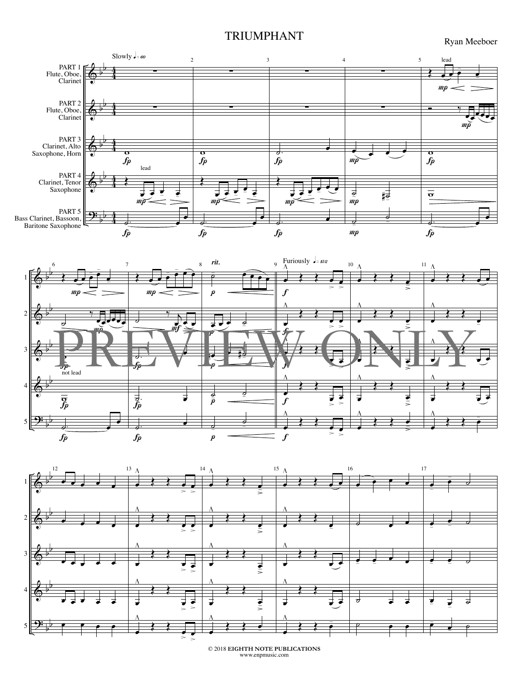### TRIUMPHANT Ryan Meeboer







© 2018 **EIGHTH NOTE PUBLICATIONS** www.enpmusic.com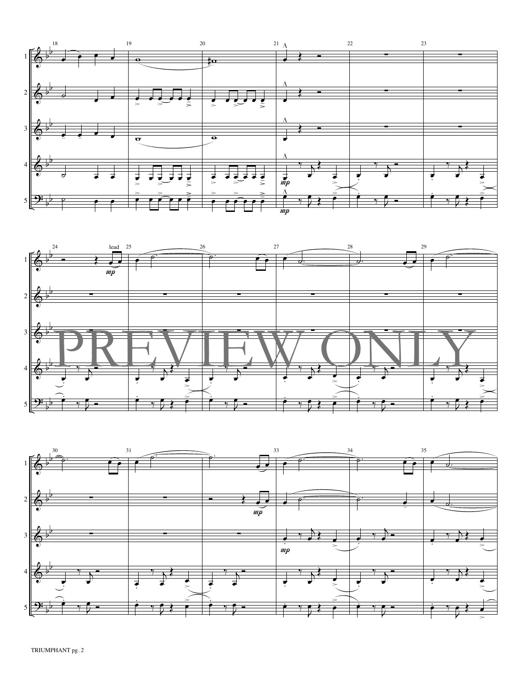



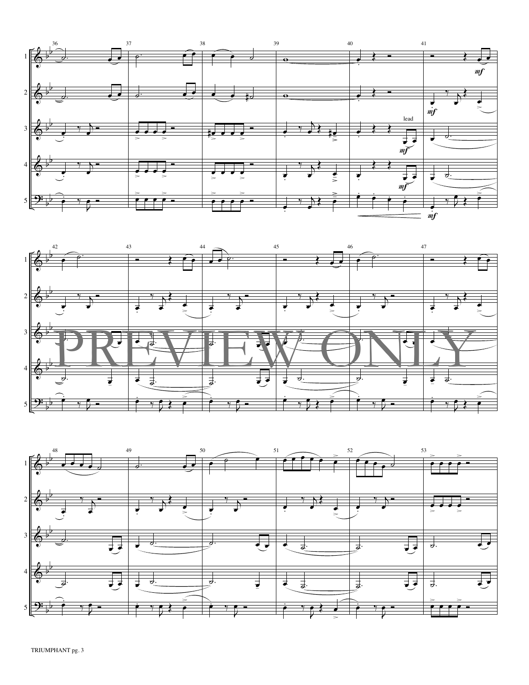



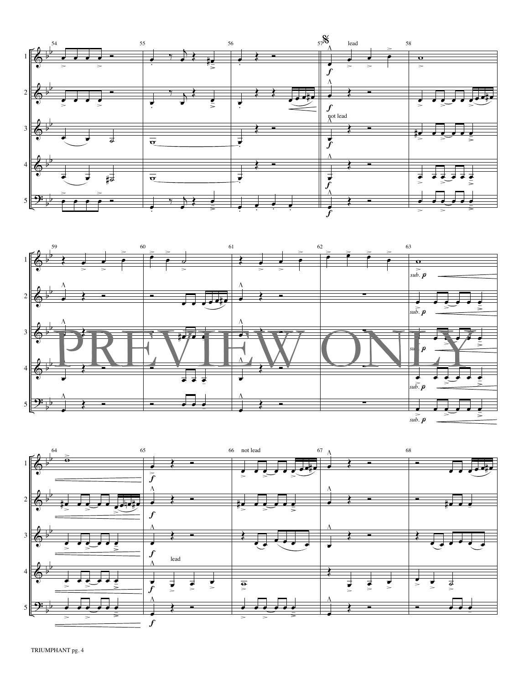





TRIUMPHANT pg. 4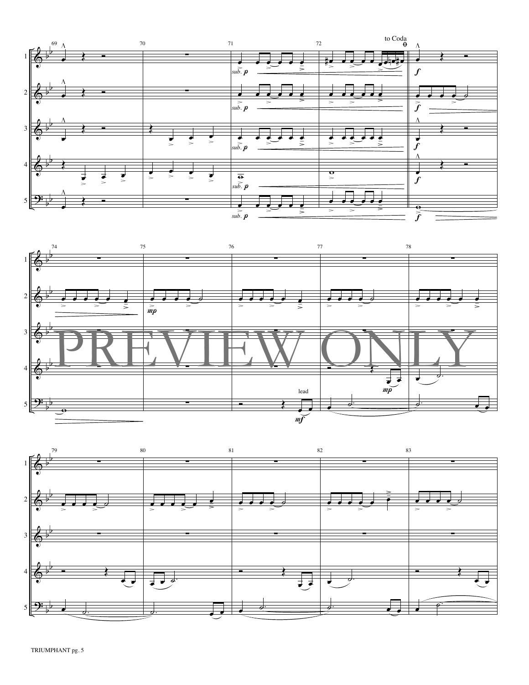



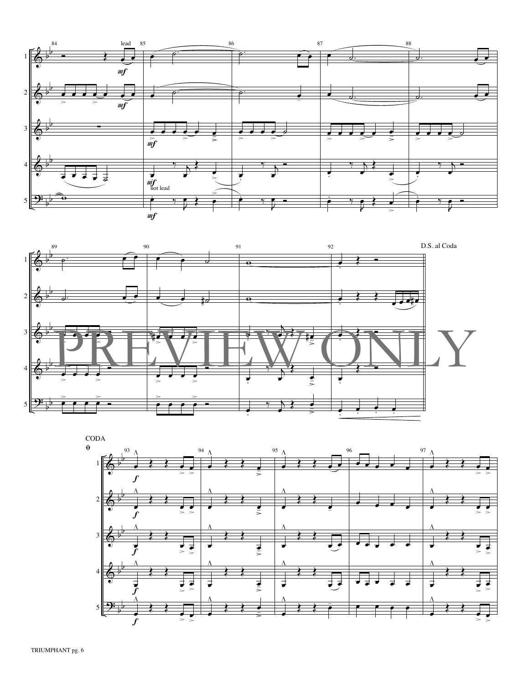